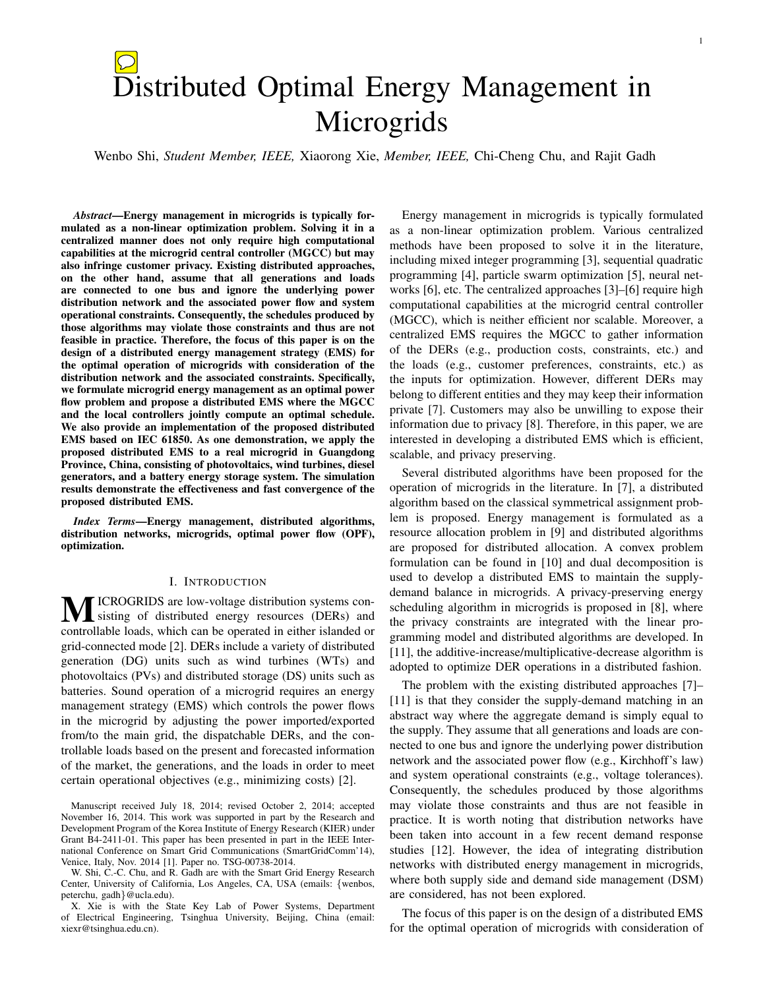# Microgrids

Wenbo Shi, *Student Member, IEEE,* Xiaorong Xie, *Member, IEEE,* Chi-Cheng Chu, and Rajit Gadh

*Abstract*—Energy management in microgrids is typically formulated as a non-linear optimization problem. Solving it in a centralized manner does not only require high computational capabilities at the microgrid central controller (MGCC) but may also infringe customer privacy. Existing distributed approaches, on the other hand, assume that all generations and loads are connected to one bus and ignore the underlying power distribution network and the associated power flow and system operational constraints. Consequently, the schedules produced by those algorithms may violate those constraints and thus are not feasible in practice. Therefore, the focus of this paper is on the design of a distributed energy management strategy (EMS) for the optimal operation of microgrids with consideration of the distribution network and the associated constraints. Specifically, we formulate microgrid energy management as an optimal power flow problem and propose a distributed EMS where the MGCC and the local controllers jointly compute an optimal schedule. We also provide an implementation of the proposed distributed EMS based on IEC 61850. As one demonstration, we apply the proposed distributed EMS to a real microgrid in Guangdong Province, China, consisting of photovoltaics, wind turbines, diesel generators, and a battery energy storage system. The simulation results demonstrate the effectiveness and fast convergence of the proposed distributed EMS.

*Index Terms*—Energy management, distributed algorithms, distribution networks, microgrids, optimal power flow (OPF), optimization.

#### I. INTRODUCTION

ICROGRIDS are low-voltage distribution systems consisting of distributed energy resources (DERs) and controllable loads, which can be operated in either islanded or grid-connected mode [2]. DERs include a variety of distributed generation (DG) units such as wind turbines (WTs) and photovoltaics (PVs) and distributed storage (DS) units such as batteries. Sound operation of a microgrid requires an energy management strategy (EMS) which controls the power flows in the microgrid by adjusting the power imported/exported from/to the main grid, the dispatchable DERs, and the controllable loads based on the present and forecasted information of the market, the generations, and the loads in order to meet certain operational objectives (e.g., minimizing costs) [2].

Manuscript received July 18, 2014; revised October 2, 2014; accepted November 16, 2014. This work was supported in part by the Research and Development Program of the Korea Institute of Energy Research (KIER) under Grant B4-2411-01. This paper has been presented in part in the IEEE International Conference on Smart Grid Communications (SmartGridComm'14), Venice, Italy, Nov. 2014 [1]. Paper no. TSG-00738-2014.

W. Shi, C.-C. Chu, and R. Gadh are with the Smart Grid Energy Research Center, University of California, Los Angeles, CA, USA (emails: {wenbos, peterchu, gadh}@ucla.edu).

X. Xie is with the State Key Lab of Power Systems, Department of Electrical Engineering, Tsinghua University, Beijing, China (email: xiexr@tsinghua.edu.cn).

Energy management in microgrids is typically formulated as a non-linear optimization problem. Various centralized methods have been proposed to solve it in the literature, including mixed integer programming [3], sequential quadratic programming [4], particle swarm optimization [5], neural networks [6], etc. The centralized approaches [3]–[6] require high computational capabilities at the microgrid central controller (MGCC), which is neither efficient nor scalable. Moreover, a centralized EMS requires the MGCC to gather information of the DERs (e.g., production costs, constraints, etc.) and the loads (e.g., customer preferences, constraints, etc.) as the inputs for optimization. However, different DERs may belong to different entities and they may keep their information private [7]. Customers may also be unwilling to expose their information due to privacy [8]. Therefore, in this paper, we are interested in developing a distributed EMS which is efficient, scalable, and privacy preserving.

Several distributed algorithms have been proposed for the operation of microgrids in the literature. In [7], a distributed algorithm based on the classical symmetrical assignment problem is proposed. Energy management is formulated as a resource allocation problem in [9] and distributed algorithms are proposed for distributed allocation. A convex problem formulation can be found in [10] and dual decomposition is used to develop a distributed EMS to maintain the supplydemand balance in microgrids. A privacy-preserving energy scheduling algorithm in microgrids is proposed in [8], where the privacy constraints are integrated with the linear programming model and distributed algorithms are developed. In [11], the additive-increase/multiplicative-decrease algorithm is adopted to optimize DER operations in a distributed fashion.

The problem with the existing distributed approaches [7]– [11] is that they consider the supply-demand matching in an abstract way where the aggregate demand is simply equal to the supply. They assume that all generations and loads are connected to one bus and ignore the underlying power distribution network and the associated power flow (e.g., Kirchhoff's law) and system operational constraints (e.g., voltage tolerances). Consequently, the schedules produced by those algorithms may violate those constraints and thus are not feasible in practice. It is worth noting that distribution networks have been taken into account in a few recent demand response studies [12]. However, the idea of integrating distribution networks with distributed energy management in microgrids, where both supply side and demand side management (DSM) are considered, has not been explored.

The focus of this paper is on the design of a distributed EMS for the optimal operation of microgrids with consideration of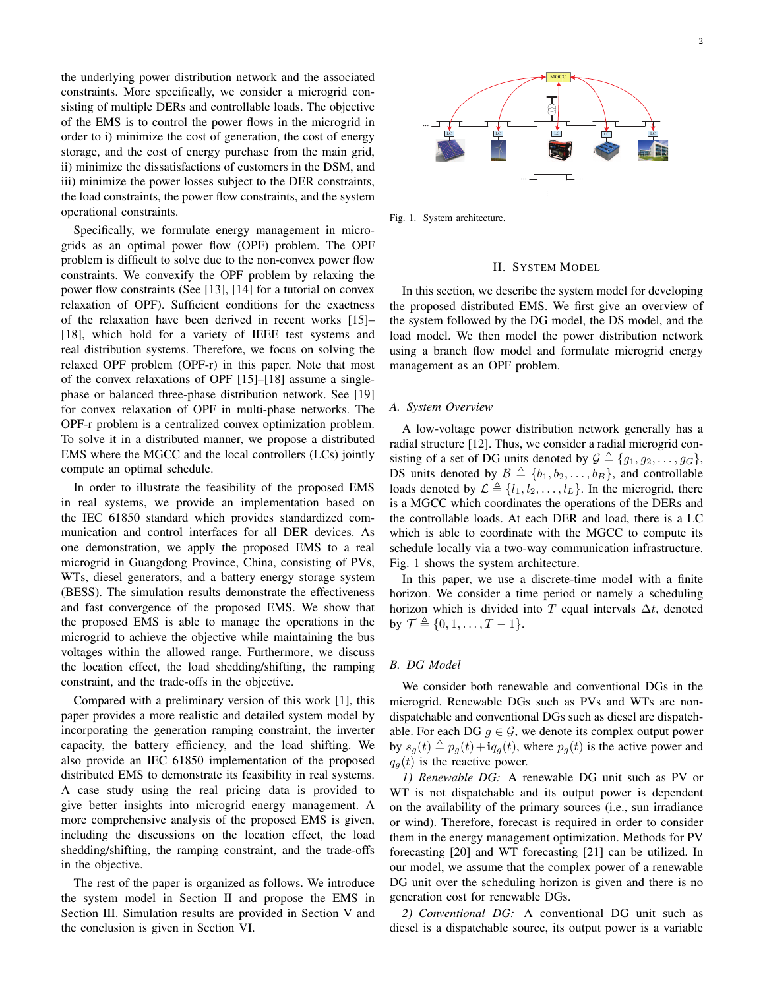the underlying power distribution network and the associated constraints. More specifically, we consider a microgrid consisting of multiple DERs and controllable loads. The objective of the EMS is to control the power flows in the microgrid in order to i) minimize the cost of generation, the cost of energy storage, and the cost of energy purchase from the main grid, ii) minimize the dissatisfactions of customers in the DSM, and iii) minimize the power losses subject to the DER constraints, the load constraints, the power flow constraints, and the system operational constraints.

Specifically, we formulate energy management in microgrids as an optimal power flow (OPF) problem. The OPF problem is difficult to solve due to the non-convex power flow constraints. We convexify the OPF problem by relaxing the power flow constraints (See [13], [14] for a tutorial on convex relaxation of OPF). Sufficient conditions for the exactness of the relaxation have been derived in recent works [15]– [18], which hold for a variety of IEEE test systems and real distribution systems. Therefore, we focus on solving the relaxed OPF problem (OPF-r) in this paper. Note that most of the convex relaxations of OPF [15]–[18] assume a singlephase or balanced three-phase distribution network. See [19] for convex relaxation of OPF in multi-phase networks. The OPF-r problem is a centralized convex optimization problem. To solve it in a distributed manner, we propose a distributed EMS where the MGCC and the local controllers (LCs) jointly compute an optimal schedule. the boul constraints, the power flow constraints, and the system<br>
dependent on constraints. The power flow constraints, and the system<br>
spectrically, we formulae energy management in micro-<br>
spectrically, we formulae conc

In order to illustrate the feasibility of the proposed EMS in real systems, we provide an implementation based on the IEC 61850 standard which provides standardized communication and control interfaces for all DER devices. As one demonstration, we apply the proposed EMS to a real microgrid in Guangdong Province, China, consisting of PVs, WTs, diesel generators, and a battery energy storage system (BESS). The simulation results demonstrate the effectiveness and fast convergence of the proposed EMS. We show that the proposed EMS is able to manage the operations in the microgrid to achieve the objective while maintaining the bus voltages within the allowed range. Furthermore, we discuss the location effect, the load shedding/shifting, the ramping constraint, and the trade-offs in the objective.

Compared with a preliminary version of this work [1], this paper provides a more realistic and detailed system model by incorporating the generation ramping constraint, the inverter capacity, the battery efficiency, and the load shifting. We also provide an IEC 61850 implementation of the proposed distributed EMS to demonstrate its feasibility in real systems. A case study using the real pricing data is provided to give better insights into microgrid energy management. A more comprehensive analysis of the proposed EMS is given, including the discussions on the location effect, the load shedding/shifting, the ramping constraint, and the trade-offs in the objective.

The rest of the paper is organized as follows. We introduce the system model in Section II and propose the EMS in Section III. Simulation results are provided in Section V and



Fig. 1. System architecture.

## II. SYSTEM MODEL

In this section, we describe the system model for developing the proposed distributed EMS. We first give an overview of the system followed by the DG model, the DS model, and the load model. We then model the power distribution network using a branch flow model and formulate microgrid energy management as an OPF problem.

#### *A. System Overview*

A low-voltage power distribution network generally has a radial structure [12]. Thus, we consider a radial microgrid consisting of a set of DG units denoted by  $G \triangleq \{g_1, g_2, \ldots, g_G\},\$ DS units denoted by  $\mathcal{B} \triangleq \{b_1, b_2, \ldots, b_B\}$ , and controllable loads denoted by  $\mathcal{L} \triangleq \{l_1, l_2, \ldots, l_L\}$ . In the microgrid, there is a MGCC which coordinates the operations of the DERs and the controllable loads. At each DER and load, there is a LC which is able to coordinate with the MGCC to compute its schedule locally via a two-way communication infrastructure. Fig. 1 shows the system architecture.

In this paper, we use a discrete-time model with a finite horizon. We consider a time period or namely a scheduling horizon which is divided into T equal intervals  $\Delta t$ , denoted by  $\mathcal{T} \triangleq \{0, 1, \ldots, T - 1\}.$ 

## *B. DG Model*

We consider both renewable and conventional DGs in the microgrid. Renewable DGs such as PVs and WTs are nondispatchable and conventional DGs such as diesel are dispatchable. For each DG  $g \in \mathcal{G}$ , we denote its complex output power by  $s_q(t) \triangleq p_q(t) + i q_g(t)$ , where  $p_g(t)$  is the active power and  $q_q(t)$  is the reactive power.

*1) Renewable DG:* A renewable DG unit such as PV or WT is not dispatchable and its output power is dependent on the availability of the primary sources (i.e., sun irradiance or wind). Therefore, forecast is required in order to consider them in the energy management optimization. Methods for PV forecasting [20] and WT forecasting [21] can be utilized. In our model, we assume that the complex power of a renewable DG unit over the scheduling horizon is given and there is no generation cost for renewable DGs.

*2) Conventional DG:* A conventional DG unit such as diesel is a dispatchable source, its output power is a variable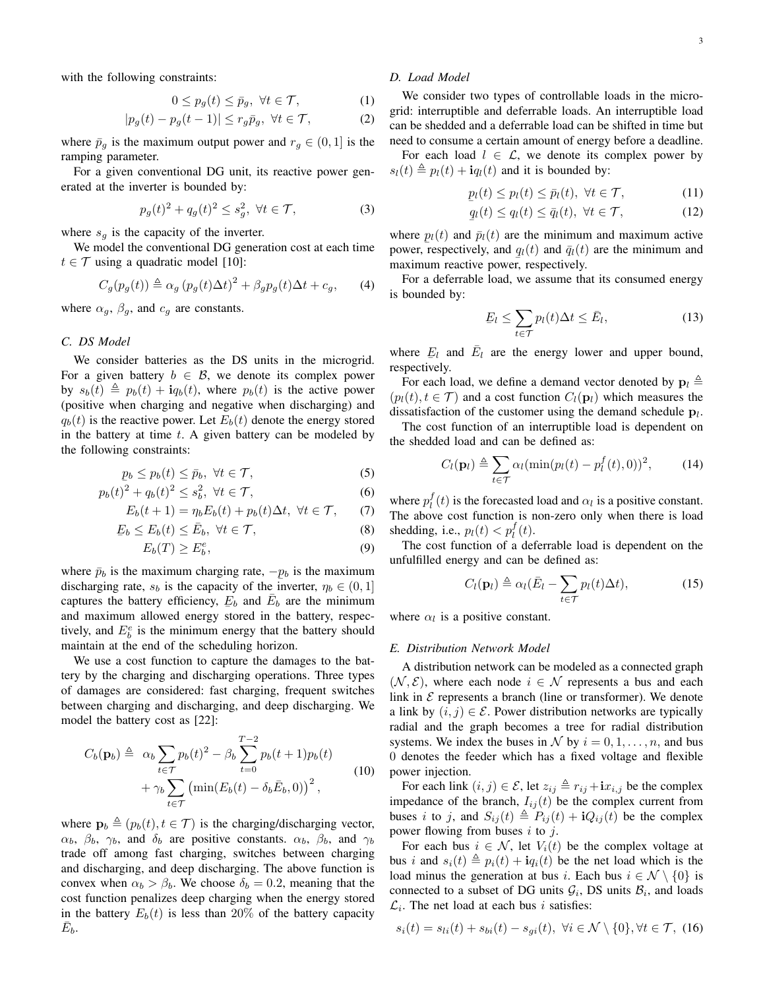with the following constraints:

$$
0 \le p_g(t) \le \bar{p}_g, \ \forall t \in \mathcal{T}, \tag{1}
$$

$$
|p_g(t) - p_g(t-1)| \le r_g \bar{p}_g, \ \forall t \in \mathcal{T},\tag{2}
$$

where  $\bar{p}_g$  is the maximum output power and  $r_g \in (0, 1]$  is the ramping parameter.

For a given conventional DG unit, its reactive power generated at the inverter is bounded by:

$$
p_g(t)^2 + q_g(t)^2 \le s_g^2, \ \forall t \in \mathcal{T},\tag{3}
$$

where  $s_q$  is the capacity of the inverter.

We model the conventional DG generation cost at each time  $t \in \mathcal{T}$  using a quadratic model [10]:

$$
C_g(p_g(t)) \triangleq \alpha_g (p_g(t)\Delta t)^2 + \beta_g p_g(t)\Delta t + c_g, \qquad (4)
$$

where  $\alpha_g$ ,  $\beta_g$ , and  $c_g$  are constants.

## *C. DS Model*

We consider batteries as the DS units in the microgrid. For a given battery  $b \in \mathcal{B}$ , we denote its complex power by  $s_b(t) \triangleq p_b(t) + i q_b(t)$ , where  $p_b(t)$  is the active power (positive when charging and negative when discharging) and  $q_b(t)$  is the reactive power. Let  $E_b(t)$  denote the energy stored in the battery at time  $t$ . A given battery can be modeled by the following constraints:

$$
p_b \le p_b(t) \le \bar{p}_b, \ \forall t \in \mathcal{T},\tag{5}
$$

$$
p_b(t)^2 + q_b(t)^2 \le s_b^2, \ \forall t \in \mathcal{T}, \tag{6}
$$

$$
E_b(t+1) = \eta_b E_b(t) + p_b(t)\Delta t, \ \forall t \in \mathcal{T}, \qquad (7)
$$

$$
\underline{E}_b \le E_b(t) \le \overline{E}_b, \ \forall t \in \mathcal{T},\tag{8}
$$

$$
E_b(T) \ge E_b^e,\tag{9}
$$

where  $\bar{p}_b$  is the maximum charging rate,  $-p_b$  is the maximum discharging rate,  $s_b$  is the capacity of the inverter,  $\eta_b \in (0, 1]$ captures the battery efficiency,  $E_b$  and  $\bar{E}_b$  are the minimum and maximum allowed energy stored in the battery, respectively, and  $E_b^e$  is the minimum energy that the battery should maintain at the end of the scheduling horizon.

We use a cost function to capture the damages to the battery by the charging and discharging operations. Three types of damages are considered: fast charging, frequent switches between charging and discharging, and deep discharging. We model the battery cost as [22]:

$$
C_b(\mathbf{p}_b) \triangleq \alpha_b \sum_{t \in \mathcal{T}} p_b(t)^2 - \beta_b \sum_{t=0}^{T-2} p_b(t+1) p_b(t)
$$
  
+ 
$$
\gamma_b \sum_{t \in \mathcal{T}} \left( \min(E_b(t) - \delta_b \bar{E}_b, 0) \right)^2,
$$
 (10)

where  $\mathbf{p}_b \triangleq (p_b(t), t \in \mathcal{T})$  is the charging/discharging vector,  $\alpha_b$ ,  $\beta_b$ ,  $\gamma_b$ , and  $\delta_b$  are positive constants.  $\alpha_b$ ,  $\beta_b$ , and  $\gamma_b$ trade off among fast charging, switches between charging and discharging, and deep discharging. The above function is convex when  $\alpha_b > \beta_b$ . We choose  $\delta_b = 0.2$ , meaning that the cost function penalizes deep charging when the energy stored in the battery  $E_b(t)$  is less than 20% of the battery capacity  $\bar{E}_b$ .

# *D. Load Model*

We consider two types of controllable loads in the microgrid: interruptible and deferrable loads. An interruptible load can be shedded and a deferrable load can be shifted in time but need to consume a certain amount of energy before a deadline.

For each load  $l \in \mathcal{L}$ , we denote its complex power by  $s_l(t) \triangleq p_l(t) + i q_l(t)$  and it is bounded by:

$$
p_l(t) \le p_l(t) \le \bar{p}_l(t), \ \forall t \in \mathcal{T}, \tag{11}
$$

$$
q_l(t) \le q_l(t) \le \bar{q}_l(t), \ \forall t \in \mathcal{T}, \tag{12}
$$

where  $p_l(t)$  and  $\bar{p}_l(t)$  are the minimum and maximum active power, respectively, and  $q_l(t)$  and  $\bar{q}_l(t)$  are the minimum and  $\frac{1}{2}$  maximum reactive power, respectively.

For a deferrable load, we assume that its consumed energy is bounded by:

$$
E_l \le \sum_{t \in \mathcal{T}} p_l(t) \Delta t \le \bar{E}_l,
$$
\n(13)

where  $E_l$  and  $\overline{E}_l$  are the energy lower and upper bound, where  $E_t$  as

For each load, we define a demand vector denoted by  $\mathbf{p}_l \triangleq$  $(p_l(t), t \in \mathcal{T})$  and a cost function  $C_l(\mathbf{p}_l)$  which measures the dissatisfaction of the customer using the demand schedule  $p_l$ .

The cost function of an interruptible load is dependent on the shedded load and can be defined as:

$$
C_l(\mathbf{p}_l) \triangleq \sum_{t \in \mathcal{T}} \alpha_l (\min(p_l(t) - p_l^f(t), 0))^2, \qquad (14)
$$

where  $p_l^f(t)$  is the forecasted load and  $\alpha_l$  is a positive constant. The above cost function is non-zero only when there is load shedding, i.e.,  $p_l(t) < p_l^f(t)$ .

The cost function of a deferrable load is dependent on the unfulfilled energy and can be defined as:

$$
C_l(\mathbf{p}_l) \triangleq \alpha_l (\bar{E}_l - \sum_{t \in \mathcal{T}} p_l(t) \Delta t), \tag{15}
$$

where  $\alpha_l$  is a positive constant.

#### *E. Distribution Network Model*

A distribution network can be modeled as a connected graph  $(N, \mathcal{E})$ , where each node  $i \in \mathcal{N}$  represents a bus and each link in  $\mathcal E$  represents a branch (line or transformer). We denote a link by  $(i, j) \in \mathcal{E}$ . Power distribution networks are typically radial and the graph becomes a tree for radial distribution systems. We index the buses in N by  $i = 0, 1, \ldots, n$ , and bus 0 denotes the feeder which has a fixed voltage and flexible power injection.

For each link  $(i, j) \in \mathcal{E}$ , let  $z_{ij} \triangleq r_{ij} + i x_{i,j}$  be the complex impedance of the branch,  $I_{ij}(t)$  be the complex current from buses i to j, and  $S_{ij}(t) \triangleq P_{ij}(t) + iQ_{ij}(t)$  be the complex power flowing from buses  $i$  to  $j$ .

For each bus  $i \in \mathcal{N}$ , let  $V_i(t)$  be the complex voltage at bus i and  $s_i(t) \triangleq p_i(t) + i q_i(t)$  be the net load which is the load minus the generation at bus i. Each bus  $i \in \mathcal{N} \setminus \{0\}$  is connected to a subset of DG units  $\mathcal{G}_i$ , DS units  $\mathcal{B}_i$ , and loads  $\mathcal{L}_i$ . The net load at each bus *i* satisfies:

$$
s_i(t) = s_{li}(t) + s_{bi}(t) - s_{gi}(t), \ \forall i \in \mathcal{N} \setminus \{0\}, \forall t \in \mathcal{T}, \ (16)
$$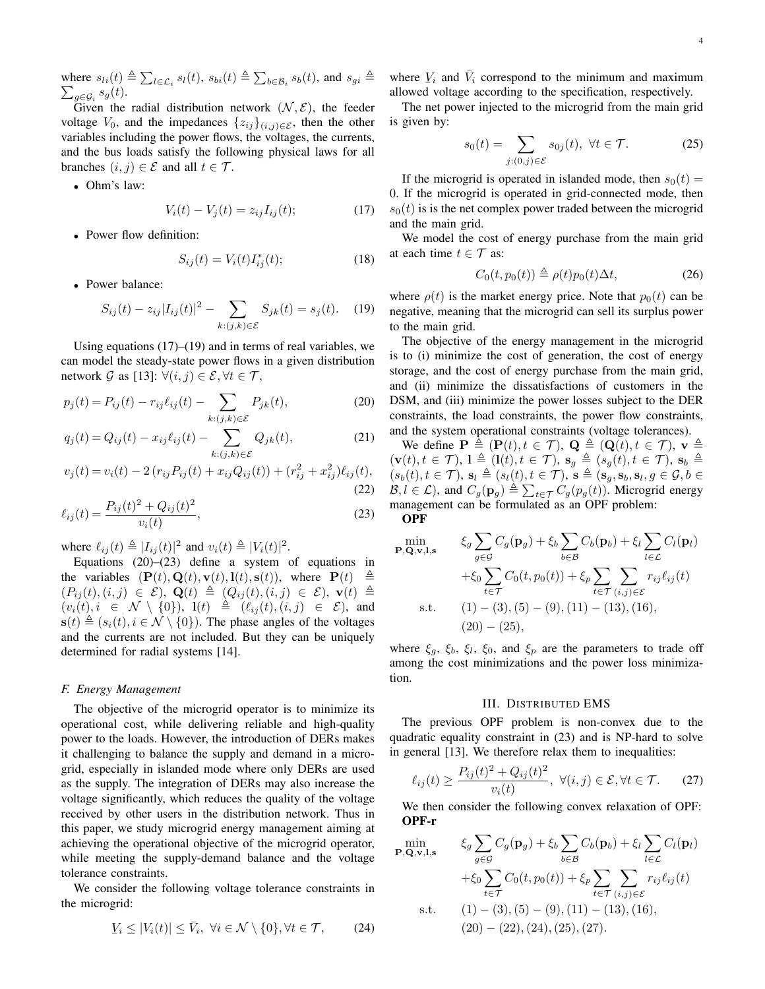where  $s_{li}(t) \triangleq \sum_{l \in \mathcal{L}_i} s_l(t)$ ,  $s_{bi}(t) \triangleq \sum_{b \in \mathcal{B}_i} s_b(t)$ , and  $s_{gi} \triangleq \sum_{a \in \mathcal{G}_i} s_q(t)$ .  $_{g\in\mathcal{G}_i}$   $s_g(t)$ .

Given the radial distribution network  $(N, \mathcal{E})$ , the feeder voltage  $V_0$ , and the impedances  $\{z_{ij}\}_{(i,j)\in\mathcal{E}}$ , then the other variables including the power flows, the voltages, the currents, and the bus loads satisfy the following physical laws for all branches  $(i, j) \in \mathcal{E}$  and all  $t \in \mathcal{T}$ .

• Ohm's law:

$$
V_i(t) - V_j(t) = z_{ij} I_{ij}(t); \t\t(17)
$$

• Power flow definition:

$$
S_{ij}(t) = V_i(t)I_{ij}^*(t);
$$
 (18)

• Power balance:

$$
S_{ij}(t) - z_{ij}|I_{ij}(t)|^2 - \sum_{k:(j,k)\in\mathcal{E}} S_{jk}(t) = s_j(t). \quad (19)
$$

Using equations  $(17)$ – $(19)$  and in terms of real variables, we can model the steady-state power flows in a given distribution network G as [13]:  $\forall (i, j) \in \mathcal{E}, \forall t \in \mathcal{T},$ 

$$
p_j(t) = P_{ij}(t) - r_{ij}\ell_{ij}(t) - \sum_{k:(j,k)\in\mathcal{E}} P_{jk}(t),
$$
 (20)

$$
q_j(t) = Q_{ij}(t) - x_{ij}\ell_{ij}(t) - \sum_{k:(j,k)\in\mathcal{E}} Q_{jk}(t),
$$
 (21)

$$
v_j(t) = v_i(t) - 2(r_{ij}P_{ij}(t) + x_{ij}Q_{ij}(t)) + (r_{ij}^2 + x_{ij}^2)\ell_{ij}(t),
$$
\n(22)

$$
\ell_{ij}(t) = \frac{P_{ij}(t)^2 + Q_{ij}(t)^2}{v_i(t)},
$$
\n(23)

where  $\ell_{ij}(t) \triangleq |I_{ij}(t)|^2$  and  $v_i(t) \triangleq |V_i(t)|^2$ .

Equations (20)–(23) define a system of equations in the variables  $(\mathbf{P}(t), \mathbf{Q}(t), \mathbf{v}(t), \mathbf{l}(t), \mathbf{s}(t)),$  where  $\mathbf{P}(t) \triangleq$  $(P_{ij}(t), (i, j) \in \mathcal{E})$ ,  $\mathbf{Q}(t) \triangleq (Q_{ij}(t), (i, j) \in \mathcal{E})$ ,  $\mathbf{v}(t) \triangleq$  $(v_i(t), i \in \mathcal{N} \setminus \{0\}), \mathbf{1}(t) \triangleq (\ell_{ij}(t), (i, j) \in \mathcal{E})$ , and  $\mathbf{s}(t) \triangleq (s_i(t), i \in \mathcal{N} \setminus \{0\})$ . The phase angles of the voltages and the currents are not included. But they can be uniquely determined for radial systems [14].

#### *F. Energy Management*

The objective of the microgrid operator is to minimize its operational cost, while delivering reliable and high-quality power to the loads. However, the introduction of DERs makes it challenging to balance the supply and demand in a microgrid, especially in islanded mode where only DERs are used as the supply. The integration of DERs may also increase the voltage significantly, which reduces the quality of the voltage received by other users in the distribution network. Thus in this paper, we study microgrid energy management aiming at achieving the operational objective of the microgrid operator, while meeting the supply-demand balance and the voltage tolerance constraints.

We consider the following voltage tolerance constraints in the microgrid:

$$
Y_i \le |V_i(t)| \le \bar{V}_i, \ \forall i \in \mathcal{N} \setminus \{0\}, \forall t \in \mathcal{T}, \tag{24}
$$

where  $V_i$  and  $\overline{V}_i$  correspond to the minimum and maximum where  $\frac{1}{2}i$  and  $v_i$  correspond to the minimum and maximal allowed voltage according to the specification, respectively.

The net power injected to the microgrid from the main grid is given by:

$$
s_0(t) = \sum_{j:(0,j)\in\mathcal{E}} s_{0j}(t), \ \forall t \in \mathcal{T}.
$$
 (25)

If the microgrid is operated in islanded mode, then  $s_0(t) =$ 0. If the microgrid is operated in grid-connected mode, then  $s<sub>0</sub>(t)$  is is the net complex power traded between the microgrid and the main grid.

We model the cost of energy purchase from the main grid at each time  $t \in \mathcal{T}$  as:

$$
C_0(t, p_0(t)) \triangleq \rho(t)p_0(t)\Delta t, \qquad (26)
$$

where  $\rho(t)$  is the market energy price. Note that  $p_0(t)$  can be negative, meaning that the microgrid can sell its surplus power to the main grid.

The objective of the energy management in the microgrid is to (i) minimize the cost of generation, the cost of energy storage, and the cost of energy purchase from the main grid, and (ii) minimize the dissatisfactions of customers in the DSM, and (iii) minimize the power losses subject to the DER constraints, the load constraints, the power flow constraints, and the system operational constraints (voltage tolerances).

We define  $\mathbf{P} \triangleq (\mathbf{P}(t), t \in \mathcal{T}), \mathbf{Q} \triangleq (\mathbf{Q}(t), t \in \mathcal{T}), \mathbf{v} \triangleq$  $(\mathbf{v}(t), t \in \mathcal{T}), \mathbf{l} \triangleq (\mathbf{l}(t), t \in \mathcal{T}), \mathbf{s}_q \triangleq (s_q(t), t \in \mathcal{T}), \mathbf{s}_b \triangleq$  $(s_b(t), t \in \mathcal{T}), s_l \triangleq (s_l(t), t \in \mathcal{T}), \ s \triangleq (s_g, s_b, s_l, g \in \mathcal{G}, b \in$  $B, l \in \mathcal{L}$ ), and  $C_g(\mathbf{p}_g) \triangleq \sum_{t \in \mathcal{T}} C_g(p_g(t))$ . Microgrid energy management can be formulated as an OPF problem: **OPF** 

$$
\min_{\mathbf{P},\mathbf{Q},\mathbf{v},\mathbf{l},\mathbf{s}} \quad \xi_g \sum_{g \in \mathcal{G}} C_g(\mathbf{p}_g) + \xi_b \sum_{b \in \mathcal{B}} C_b(\mathbf{p}_b) + \xi_l \sum_{l \in \mathcal{L}} C_l(\mathbf{p}_l) \n+ \xi_0 \sum_{t \in \mathcal{T}} C_0(t, p_0(t)) + \xi_p \sum_{t \in \mathcal{T}} \sum_{(i,j) \in \mathcal{E}} r_{ij} \ell_{ij}(t) \ns.t. \quad (1) - (3), (5) - (9), (11) - (13), (16), \n(20) - (25),
$$

where  $\xi_g$ ,  $\xi_b$ ,  $\xi_l$ ,  $\xi_0$ , and  $\xi_p$  are the parameters to trade off among the cost minimizations and the power loss minimization.

#### III. DISTRIBUTED EMS

The previous OPF problem is non-convex due to the quadratic equality constraint in (23) and is NP-hard to solve in general [13]. We therefore relax them to inequalities:

$$
\ell_{ij}(t) \ge \frac{P_{ij}(t)^2 + Q_{ij}(t)^2}{v_i(t)}, \ \forall (i, j) \in \mathcal{E}, \forall t \in \mathcal{T}.
$$
 (27)

We then consider the following convex relaxation of OPF: OPF-r

$$
\min_{\mathbf{P},\mathbf{Q},\mathbf{v},\mathbf{l},\mathbf{s}} \quad \xi_g \sum_{g \in \mathcal{G}} C_g(\mathbf{p}_g) + \xi_b \sum_{b \in \mathcal{B}} C_b(\mathbf{p}_b) + \xi_l \sum_{l \in \mathcal{L}} C_l(\mathbf{p}_l) \n+ \xi_0 \sum_{t \in \mathcal{T}} C_0(t, p_0(t)) + \xi_p \sum_{t \in \mathcal{T}} \sum_{(i,j) \in \mathcal{E}} r_{ij} \ell_{ij}(t) \n\text{s.t.} \quad (1) - (3), (5) - (9), (11) - (13), (16), \n(20) - (22), (24), (25), (27).
$$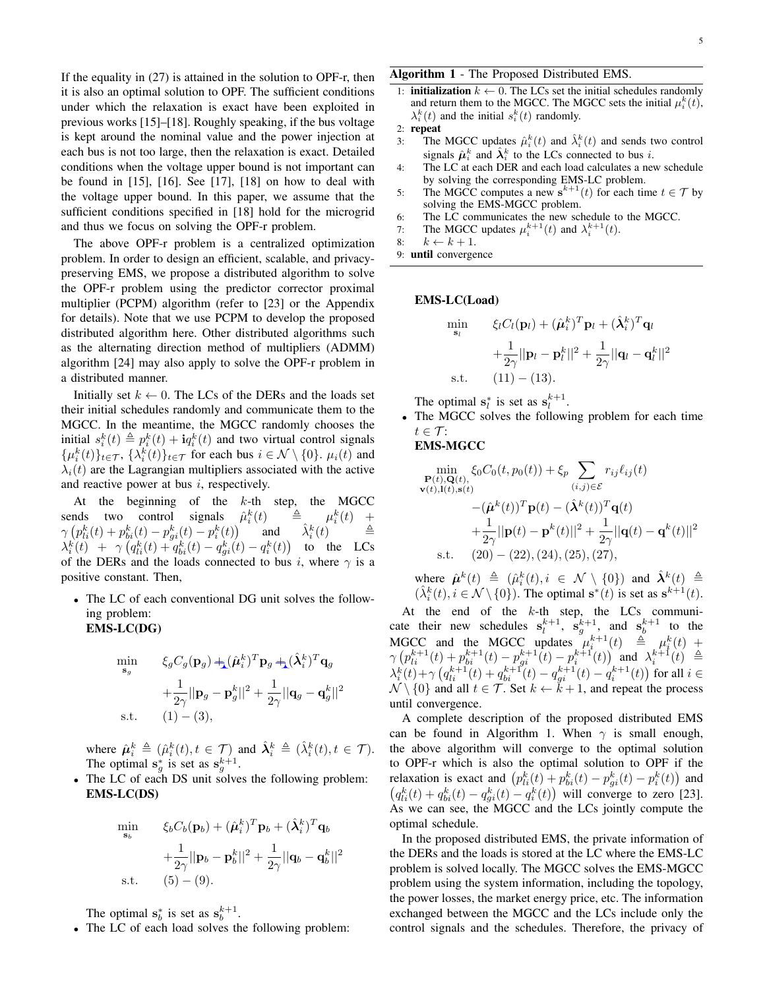If the equality in (27) is attained in the solution to OPF-r, then it is also an optimal solution to OPF. The sufficient conditions under which the relaxation is exact have been exploited in previous works [15]–[18]. Roughly speaking, if the bus voltage is kept around the nominal value and the power injection at each bus is not too large, then the relaxation is exact. Detailed conditions when the voltage upper bound is not important can be found in [15], [16]. See [17], [18] on how to deal with the voltage upper bound. In this paper, we assume that the sufficient conditions specified in [18] hold for the microgrid and thus we focus on solving the OPF-r problem.

The above OPF-r problem is a centralized optimization problem. In order to design an efficient, scalable, and privacypreserving EMS, we propose a distributed algorithm to solve the OPF-r problem using the predictor corrector proximal multiplier (PCPM) algorithm (refer to [23] or the Appendix for details). Note that we use PCPM to develop the proposed distributed algorithm here. Other distributed algorithms such as the alternating direction method of multipliers (ADMM) algorithm [24] may also apply to solve the OPF-r problem in a distributed manner.

Initially set  $k \leftarrow 0$ . The LCs of the DERs and the loads set their initial schedules randomly and communicate them to the MGCC. In the meantime, the MGCC randomly chooses the initial  $s_i^k(t) \triangleq p_i^k(t) + i q_i^k(t)$  and two virtual control signals  $\{\mu_i^k(t)\}_{t\in\mathcal{T}}$ ,  $\{\lambda_i^k(t)\}_{t\in\mathcal{T}}$  for each bus  $i \in \mathcal{N} \setminus \{0\}$ .  $\mu_i(t)$  and  $\lambda_i(t)$  are the Lagrangian multipliers associated with the active and reactive power at bus  $i$ , respectively.

At the beginning of the  $k$ -th step, the MGCC sends two control signals  $\hat{\mu}_i^k(t) = \hat{a}_{\mu} \mu$  $\frac{k}{i}(t) +$  $\gamma \left( p_{li}^k(t) + p_{bi}^k(t) - p_{gi}^k(t) - p_i^k(t) \right)$ and  $i<sup>k</sup>(t)$   $\triangleq$  $\lambda_i^k(t)$  +  $\gamma \left( q_{li}^k(t)+q_{bi}^k(t)-q_{gi}^k(t)-q_i^k(t)\right)$  to the LCs of the DERs and the loads connected to bus i, where  $\gamma$  is a positive constant. Then,

• The LC of each conventional DG unit solves the following problem: EMS-LC(DG)

$$
\begin{aligned}\n\min_{\mathbf{s}_g} & \qquad & \xi_g C_g(\mathbf{p}_g) + (\hat{\boldsymbol{\mu}}_i^k)^T \mathbf{p}_g + (\hat{\boldsymbol{\lambda}}_i^k)^T \mathbf{q}_g \\
&+ \frac{1}{2\gamma} ||\mathbf{p}_g - \mathbf{p}_g^k||^2 + \frac{1}{2\gamma} ||\mathbf{q}_g - \mathbf{q}_g^k||^2 \\
\text{s.t.} & \qquad (1) - (3),\n\end{aligned}
$$

where  $\hat{\mu}_i^k \triangleq (\hat{\mu}_i^k(t), t \in \mathcal{T})$  and  $\hat{\lambda}_i^k \triangleq (\hat{\lambda}_i^k(t), t \in \mathcal{T})$ . The optimal  $s_g^*$  is set as  $s_g^{k+1}$ .

• The LC of each DS unit solves the following problem: EMS-LC(DS)

$$
\min_{\mathbf{s}_b} \qquad \xi_b C_b(\mathbf{p}_b) + (\hat{\boldsymbol{\mu}}_i^k)^T \mathbf{p}_b + (\hat{\boldsymbol{\lambda}}_i^k)^T \mathbf{q}_b
$$
\n
$$
+ \frac{1}{2\gamma} ||\mathbf{p}_b - \mathbf{p}_b^k||^2 + \frac{1}{2\gamma} ||\mathbf{q}_b - \mathbf{q}_b^k||^2
$$
\n
$$
\text{s.t.} \qquad (5) - (9).
$$

The optimal  $s_b^*$  is set as  $s_b^{k+1}$ .

• The LC of each load solves the following problem:

## Algorithm 1 - The Proposed Distributed EMS.

- 1: **initialization**  $k \leftarrow 0$ . The LCs set the initial schedules randomly and return them to the MGCC. The MGCC sets the initial  $\mu_i^k(t)$ ,  $\lambda_i^k(t)$  and the initial  $s_i^k(t)$  randomly.
- 2: repeat
- 3: The MGCC updates  $\hat{\mu}_i^k(t)$  and  $\hat{\lambda}_i^k(t)$  and sends two control signals  $\hat{\mu}_i^k$  and  $\hat{\lambda}_i^k$  to the LCs connected to bus i.
- 4: The LC at each DER and each load calculates a new schedule by solving the corresponding EMS-LC problem.
- 5: The MGCC computes a new  $\mathbf{s}^{k+1}(t)$  for each time  $t \in \mathcal{T}$  by solving the EMS-MGCC problem.
- 6: The LC communicates the new schedule to the MGCC.
- 7: The MGCC updates  $\mu_i^{k+1}(t)$  and  $\lambda_i^{k+1}(t)$ .
- 8:  $k \leftarrow k + 1$ .
- 9: until convergence

# EMS-LC(Load)

$$
\min_{\mathbf{s}_l} \qquad \xi_l C_l(\mathbf{p}_l) + (\hat{\boldsymbol{\mu}}_i^k)^T \mathbf{p}_l + (\hat{\boldsymbol{\lambda}}_i^k)^T \mathbf{q}_l
$$
\n
$$
+ \frac{1}{2\gamma} ||\mathbf{p}_l - \mathbf{p}_l^k||^2 + \frac{1}{2\gamma} ||\mathbf{q}_l - \mathbf{q}_l^k||^2
$$
\n
$$
\text{s.t.} \qquad (11) - (13).
$$

The optimal  $s_l^*$  is set as  $s_l^{k+1}$ .

• The MGCC solves the following problem for each time  $t \in \mathcal{T}$ :

# EMS-MGCC

$$
\min_{\mathbf{P}(t),\mathbf{Q}(t),\mathbf{S}(t)} \xi_0 C_0(t, p_0(t)) + \xi_p \sum_{(i,j) \in \mathcal{E}} r_{ij} \ell_{ij}(t)
$$
\n
$$
\mathbf{v}(t),\mathbf{l}(t),\mathbf{s}(t) - (\hat{\boldsymbol{\mu}}^k(t))^T \mathbf{p}(t) - (\hat{\boldsymbol{\lambda}}^k(t))^T \mathbf{q}(t)
$$
\n
$$
+ \frac{1}{2\gamma} ||\mathbf{p}(t) - \mathbf{p}^k(t)||^2 + \frac{1}{2\gamma} ||\mathbf{q}(t) - \mathbf{q}^k(t)||^2
$$
\ns.t. (20) - (22), (24), (25), (27),

where  $\hat{\mu}^k(t) \triangleq (\hat{\mu}_i^k(t), i \in \mathcal{N} \setminus \{0\})$  and  $\hat{\lambda}^k(t) \triangleq$  $(\hat{\lambda}_i^k(t), i \in \mathcal{N} \setminus \{0\})$ . The optimal  $\mathbf{s}^*(t)$  is set as  $\mathbf{s}^{k+1}(t)$ .

At the end of the  $k$ -th step, the LCs communicate their new schedules  $s_l^{k+1}$ ,  $s_g^{k+1}$ , and  $s_b^{k+1}$  to the MGCC and the MGCC updates  $\mu_i^{k+1}(t) \triangleq \mu_i^k(t) +$  $\gamma \left( p_{li}^{k+1}(t) + p_{bi}^{k+1}(t) - p_{gi}^{k+1}(t) - p_i^{k+1}(t) \right)$  and  $\lambda_i^{k+1}(t) \triangleq$  $\lambda_i^k(t) + \gamma \left( q_{li}^{k+1}(t) + q_{bi}^{k+1}(t) - q_{gi}^{k+1}(t) - q_i^{k+1}(t) \right)$  for all  $i \in$  $\mathcal{N} \setminus \{0\}$  and all  $t \in \mathcal{T}$ . Set  $k \leftarrow \check{k} + 1$ , and repeat the process until convergence.

A complete description of the proposed distributed EMS can be found in Algorithm 1. When  $\gamma$  is small enough, the above algorithm will converge to the optimal solution to OPF-r which is also the optimal solution to OPF if the relaxation is exact and  $\left(p_{li}^k(t) + p_{bi}^k(t) - p_{gi}^k(t) - p_i^k(t)\right)$  and  $(q_{li}^k(t) + q_{bi}^k(t) - q_{gi}^k(t) - q_i^k(t))$  will converge to zero [23]. As we can see, the MGCC and the LCs jointly compute the optimal schedule.

In the proposed distributed EMS, the private information of the DERs and the loads is stored at the LC where the EMS-LC problem is solved locally. The MGCC solves the EMS-MGCC problem using the system information, including the topology, the power losses, the market energy price, etc. The information exchanged between the MGCC and the LCs include only the control signals and the schedules. Therefore, the privacy of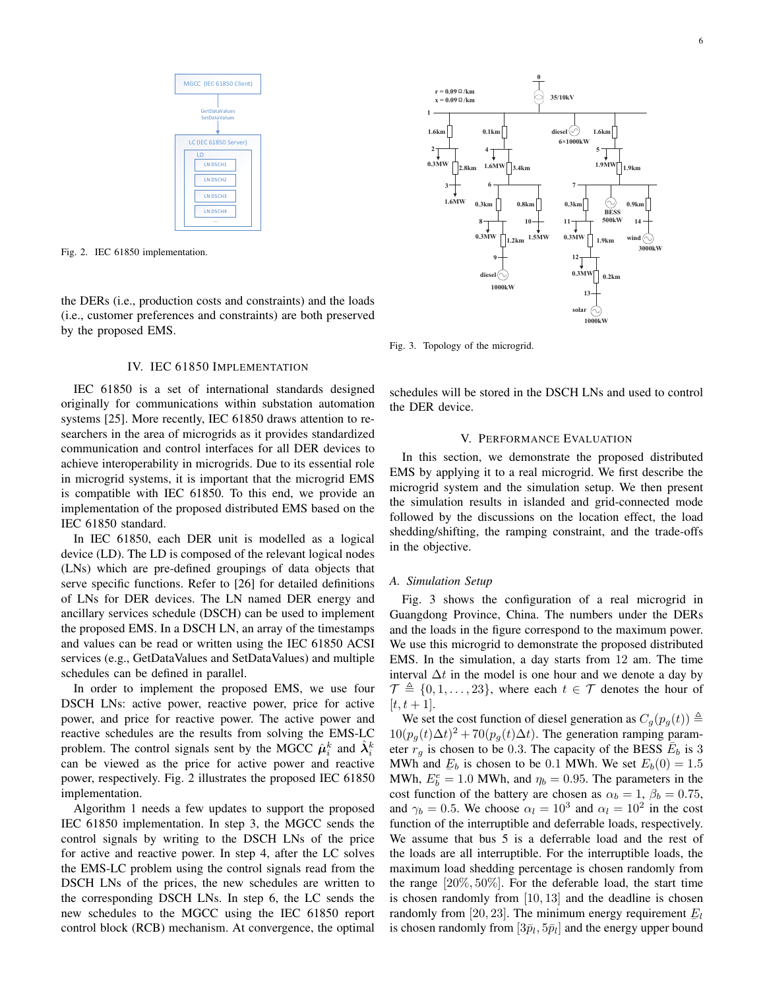

Fig. 2. IEC 61850 implementation.

the DERs (i.e., production costs and constraints) and the loads (i.e., customer preferences and constraints) are both preserved by the proposed EMS.

## IV. IEC 61850 IMPLEMENTATION

IEC 61850 is a set of international standards designed originally for communications within substation automation systems [25]. More recently, IEC 61850 draws attention to researchers in the area of microgrids as it provides standardized communication and control interfaces for all DER devices to achieve interoperability in microgrids. Due to its essential role in microgrid systems, it is important that the microgrid EMS is compatible with IEC 61850. To this end, we provide an implementation of the proposed distributed EMS based on the IEC 61850 standard.

In IEC 61850, each DER unit is modelled as a logical device (LD). The LD is composed of the relevant logical nodes (LNs) which are pre-defined groupings of data objects that serve specific functions. Refer to [26] for detailed definitions of LNs for DER devices. The LN named DER energy and ancillary services schedule (DSCH) can be used to implement the proposed EMS. In a DSCH LN, an array of the timestamps and values can be read or written using the IEC 61850 ACSI services (e.g., GetDataValues and SetDataValues) and multiple schedules can be defined in parallel.

In order to implement the proposed EMS, we use four DSCH LNs: active power, reactive power, price for active power, and price for reactive power. The active power and reactive schedules are the results from solving the EMS-LC problem. The control signals sent by the MGCC  $\hat{\mu}_i^k$  and  $\hat{\lambda}_i^k$ can be viewed as the price for active power and reactive power, respectively. Fig. 2 illustrates the proposed IEC 61850 implementation.

Algorithm 1 needs a few updates to support the proposed IEC 61850 implementation. In step 3, the MGCC sends the control signals by writing to the DSCH LNs of the price for active and reactive power. In step 4, after the LC solves the EMS-LC problem using the control signals read from the DSCH LNs of the prices, the new schedules are written to the corresponding DSCH LNs. In step 6, the LC sends the new schedules to the MGCC using the IEC 61850 report control block (RCB) mechanism. At convergence, the optimal



Fig. 3. Topology of the microgrid.

schedules will be stored in the DSCH LNs and used to control the DER device.

## V. PERFORMANCE EVALUATION

In this section, we demonstrate the proposed distributed EMS by applying it to a real microgrid. We first describe the microgrid system and the simulation setup. We then present the simulation results in islanded and grid-connected mode followed by the discussions on the location effect, the load shedding/shifting, the ramping constraint, and the trade-offs in the objective.

## *A. Simulation Setup*

Fig. 3 shows the configuration of a real microgrid in Guangdong Province, China. The numbers under the DERs and the loads in the figure correspond to the maximum power. We use this microgrid to demonstrate the proposed distributed EMS. In the simulation, a day starts from 12 am. The time interval  $\Delta t$  in the model is one hour and we denote a day by  $\mathcal{T} \triangleq \{0, 1, \ldots, 23\}$ , where each  $t \in \mathcal{T}$  denotes the hour of  $[t, t + 1].$ 

We set the cost function of diesel generation as  $C_g(p_g(t)) \triangleq$  $10(p_g(t)\Delta t)^2 + 70(p_g(t)\Delta t)$ . The generation ramping parameter  $r_g$  is chosen to be 0.3. The capacity of the BESS  $\overline{E}_b$  is 3 MWh and  $E_b$  is chosen to be 0.1 MWh. We set  $E_b(0) = 1.5$ MWh,  $E_b^e = 1.0$  MWh, and  $\eta_b = 0.95$ . The parameters in the cost function of the battery are chosen as  $\alpha_b = 1$ ,  $\beta_b = 0.75$ , and  $\gamma_b = 0.5$ . We choose  $\alpha_l = 10^3$  and  $\alpha_l = 10^2$  in the cost function of the interruptible and deferrable loads, respectively. We assume that bus 5 is a deferrable load and the rest of the loads are all interruptible. For the interruptible loads, the maximum load shedding percentage is chosen randomly from the range [20%, 50%]. For the deferable load, the start time is chosen randomly from [10, 13] and the deadline is chosen randomly from [20, 23]. The minimum energy requirement  $E_l$ is chosen randomly from  $[3\bar{p}_l, 5\bar{p}_l]$  and the energy upper bound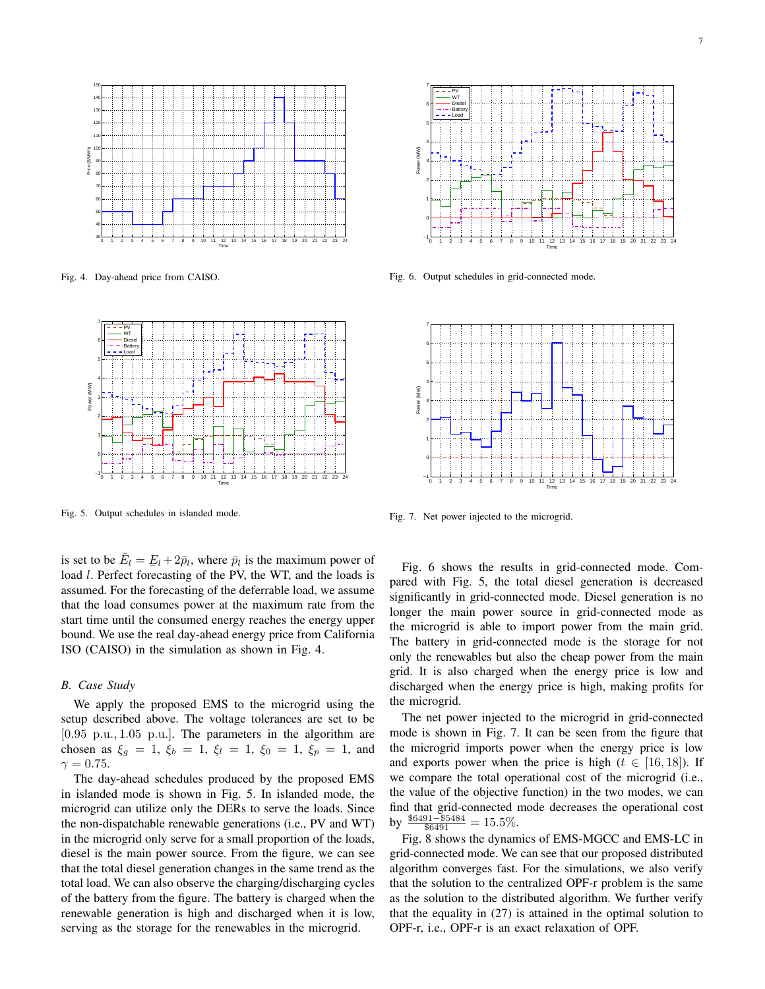

Fig. 4. Day-ahead price from CAISO.



Fig. 5. Output schedules in islanded mode.

is set to be  $\bar{E}_l = E_l + 2\bar{p}_l$ , where  $\bar{p}_l$  is the maximum power of  $\log \log \log \frac{p_i}{p_i}$  and the maximum power of load *l*. Perfect forecasting of the PV, the WT, and the loads is assumed. For the forecasting of the deferrable load, we assume that the load consumes power at the maximum rate from the start time until the consumed energy reaches the energy upper bound. We use the real day-ahead energy price from California ISO (CAISO) in the simulation as shown in Fig. 4.

## *B. Case Study*

We apply the proposed EMS to the microgrid using the setup described above. The voltage tolerances are set to be [0.95 p.u., 1.05 p.u.]. The parameters in the algorithm are chosen as  $\xi_g = 1$ ,  $\xi_b = 1$ ,  $\xi_l = 1$ ,  $\xi_0 = 1$ ,  $\xi_p = 1$ , and  $\gamma = 0.75$ .

The day-ahead schedules produced by the proposed EMS in islanded mode is shown in Fig. 5. In islanded mode, the microgrid can utilize only the DERs to serve the loads. Since the non-dispatchable renewable generations (i.e., PV and WT) in the microgrid only serve for a small proportion of the loads, diesel is the main power source. From the figure, we can see that the total diesel generation changes in the same trend as the total load. We can also observe the charging/discharging cycles of the battery from the figure. The battery is charged when the renewable generation is high and discharged when it is low, serving as the storage for the renewables in the microgrid.



Fig. 6. Output schedules in grid-connected mode.



Fig. 7. Net power injected to the microgrid.

Fig. 6 shows the results in grid-connected mode. Compared with Fig. 5, the total diesel generation is decreased significantly in grid-connected mode. Diesel generation is no longer the main power source in grid-connected mode as the microgrid is able to import power from the main grid. The battery in grid-connected mode is the storage for not only the renewables but also the cheap power from the main grid. It is also charged when the energy price is low and discharged when the energy price is high, making profits for the microgrid.

The net power injected to the microgrid in grid-connected mode is shown in Fig. 7. It can be seen from the figure that the microgrid imports power when the energy price is low and exports power when the price is high ( $t \in [16, 18]$ ). If we compare the total operational cost of the microgrid (i.e., the value of the objective function) in the two modes, we can find that grid-connected mode decreases the operational cost by  $\frac{$6491 - $5484}{\$6491} = 15.5\%.$ 

Fig. 8 shows the dynamics of EMS-MGCC and EMS-LC in grid-connected mode. We can see that our proposed distributed algorithm converges fast. For the simulations, we also verify that the solution to the centralized OPF-r problem is the same as the solution to the distributed algorithm. We further verify that the equality in (27) is attained in the optimal solution to OPF-r, i.e., OPF-r is an exact relaxation of OPF.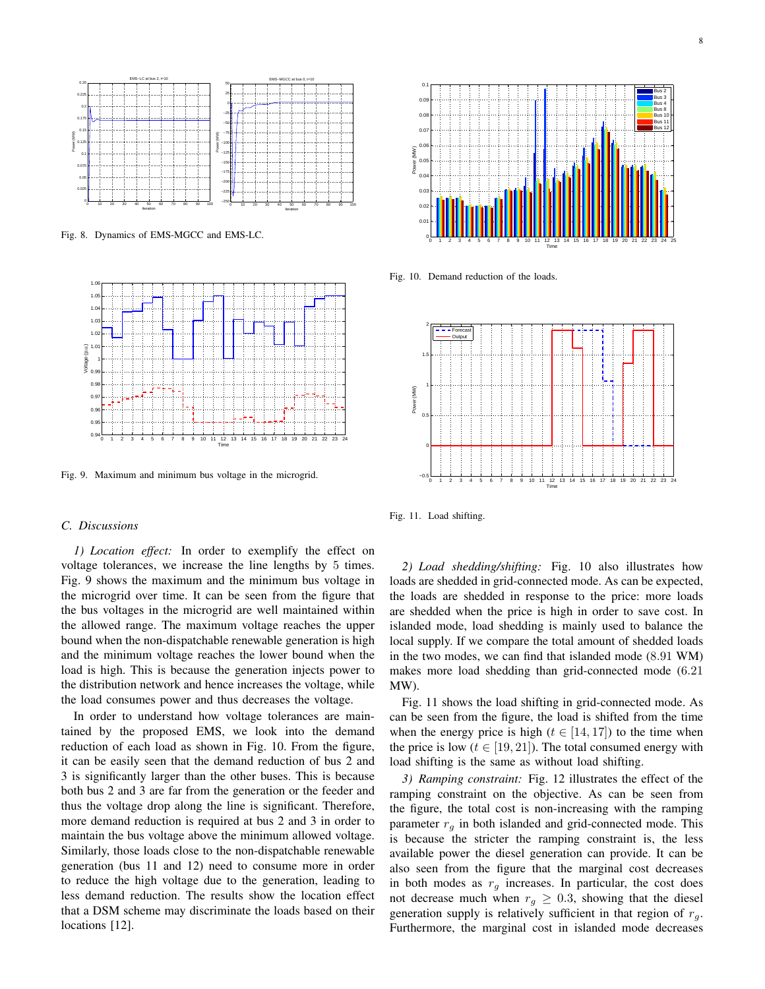

Fig. 8. Dynamics of EMS-MGCC and EMS-LC.



Fig. 9. Maximum and minimum bus voltage in the microgrid.

#### *C. Discussions*

*1) Location effect:* In order to exemplify the effect on voltage tolerances, we increase the line lengths by 5 times. Fig. 9 shows the maximum and the minimum bus voltage in the microgrid over time. It can be seen from the figure that the bus voltages in the microgrid are well maintained within the allowed range. The maximum voltage reaches the upper bound when the non-dispatchable renewable generation is high and the minimum voltage reaches the lower bound when the load is high. This is because the generation injects power to the distribution network and hence increases the voltage, while the load consumes power and thus decreases the voltage.

In order to understand how voltage tolerances are maintained by the proposed EMS, we look into the demand reduction of each load as shown in Fig. 10. From the figure, it can be easily seen that the demand reduction of bus 2 and 3 is significantly larger than the other buses. This is because both bus 2 and 3 are far from the generation or the feeder and thus the voltage drop along the line is significant. Therefore, more demand reduction is required at bus 2 and 3 in order to maintain the bus voltage above the minimum allowed voltage. Similarly, those loads close to the non-dispatchable renewable generation (bus 11 and 12) need to consume more in order to reduce the high voltage due to the generation, leading to less demand reduction. The results show the location effect that a DSM scheme may discriminate the loads based on their locations [12].



Fig. 10. Demand reduction of the loads.



Fig. 11. Load shifting.

*2) Load shedding/shifting:* Fig. 10 also illustrates how loads are shedded in grid-connected mode. As can be expected, the loads are shedded in response to the price: more loads are shedded when the price is high in order to save cost. In islanded mode, load shedding is mainly used to balance the local supply. If we compare the total amount of shedded loads in the two modes, we can find that islanded mode (8.91 WM) makes more load shedding than grid-connected mode (6.21 MW).

Fig. 11 shows the load shifting in grid-connected mode. As can be seen from the figure, the load is shifted from the time when the energy price is high ( $t \in [14, 17]$ ) to the time when the price is low ( $t \in [19, 21]$ ). The total consumed energy with load shifting is the same as without load shifting.

*3) Ramping constraint:* Fig. 12 illustrates the effect of the ramping constraint on the objective. As can be seen from the figure, the total cost is non-increasing with the ramping parameter  $r<sub>g</sub>$  in both islanded and grid-connected mode. This is because the stricter the ramping constraint is, the less available power the diesel generation can provide. It can be also seen from the figure that the marginal cost decreases in both modes as  $r_g$  increases. In particular, the cost does not decrease much when  $r_q \geq 0.3$ , showing that the diesel generation supply is relatively sufficient in that region of  $r_q$ . Furthermore, the marginal cost in islanded mode decreases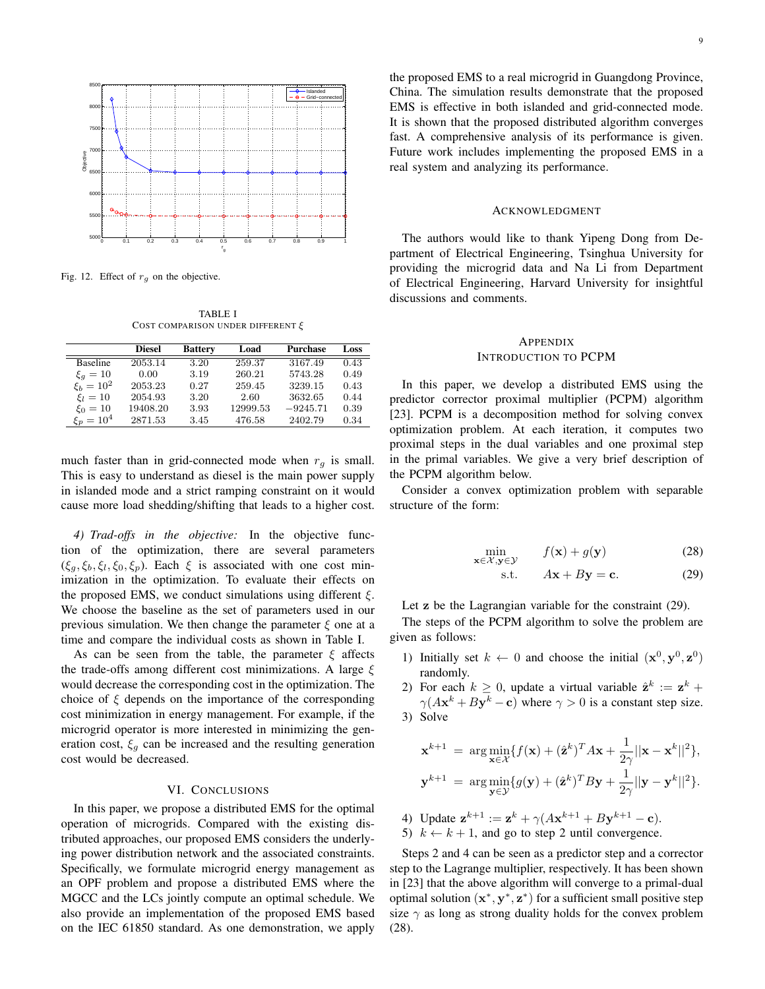

Fig. 12. Effect of  $r_q$  on the objective.

TABLE I COST COMPARISON UNDER DIFFERENT ξ

|                 | <b>Diesel</b> | <b>Battery</b> | Load     | <b>Purchase</b> | Loss |
|-----------------|---------------|----------------|----------|-----------------|------|
| <b>Baseline</b> | 2053.14       | 3.20           | 259.37   | 3167.49         | 0.43 |
| $\xi_q=10$      | 0.00          | 3.19           | 260.21   | 5743.28         | 0.49 |
| $\xi_b=10^2$    | 2053.23       | 0.27           | 259.45   | 3239.15         | 0.43 |
| $\xi_l=10$      | 2054.93       | 3.20           | 2.60     | 3632.65         | 0.44 |
| $\xi_0 = 10$    | 19408.20      | 3.93           | 12999.53 | $-9245.71$      | 0.39 |
| $\xi_p = 10^4$  | 2871.53       | 3.45           | 476.58   | 2402.79         | 0.34 |

much faster than in grid-connected mode when  $r<sub>g</sub>$  is small. This is easy to understand as diesel is the main power supply in islanded mode and a strict ramping constraint on it would cause more load shedding/shifting that leads to a higher cost.

*4) Trad-offs in the objective:* In the objective function of the optimization, there are several parameters  $(\xi_g, \xi_b, \xi_l, \xi_0, \xi_p)$ . Each  $\xi$  is associated with one cost minimization in the optimization. To evaluate their effects on the proposed EMS, we conduct simulations using different  $\xi$ . We choose the baseline as the set of parameters used in our previous simulation. We then change the parameter  $\xi$  one at a time and compare the individual costs as shown in Table I.

As can be seen from the table, the parameter  $\xi$  affects the trade-offs among different cost minimizations. A large  $\xi$ would decrease the corresponding cost in the optimization. The choice of  $\xi$  depends on the importance of the corresponding cost minimization in energy management. For example, if the microgrid operator is more interested in minimizing the generation cost,  $\xi_g$  can be increased and the resulting generation cost would be decreased.

#### VI. CONCLUSIONS

In this paper, we propose a distributed EMS for the optimal operation of microgrids. Compared with the existing distributed approaches, our proposed EMS considers the underlying power distribution network and the associated constraints. Specifically, we formulate microgrid energy management as an OPF problem and propose a distributed EMS where the MGCC and the LCs jointly compute an optimal schedule. We also provide an implementation of the proposed EMS based on the IEC 61850 standard. As one demonstration, we apply the proposed EMS to a real microgrid in Guangdong Province, China. The simulation results demonstrate that the proposed EMS is effective in both islanded and grid-connected mode. It is shown that the proposed distributed algorithm converges fast. A comprehensive analysis of its performance is given. Future work includes implementing the proposed EMS in a real system and analyzing its performance.

#### ACKNOWLEDGMENT

The authors would like to thank Yipeng Dong from Department of Electrical Engineering, Tsinghua University for providing the microgrid data and Na Li from Department of Electrical Engineering, Harvard University for insightful discussions and comments.

# **APPENDIX** INTRODUCTION TO PCPM

In this paper, we develop a distributed EMS using the predictor corrector proximal multiplier (PCPM) algorithm [23]. PCPM is a decomposition method for solving convex optimization problem. At each iteration, it computes two proximal steps in the dual variables and one proximal step in the primal variables. We give a very brief description of the PCPM algorithm below.

Consider a convex optimization problem with separable structure of the form:

$$
\min_{\mathbf{x} \in \mathcal{X}, \mathbf{y} \in \mathcal{Y}} f(\mathbf{x}) + g(\mathbf{y})
$$
 (28)

$$
s.t. \tAx + By = c. \t(29)
$$

Let **z** be the Lagrangian variable for the constraint (29).

The steps of the PCPM algorithm to solve the problem are given as follows:

- 1) Initially set  $k \leftarrow 0$  and choose the initial  $(\mathbf{x}^0, \mathbf{y}^0, \mathbf{z}^0)$ randomly.
- 2) For each  $k \geq 0$ , update a virtual variable  $\hat{\mathbf{z}}^k := \mathbf{z}^k + \hat{\mathbf{z}}^k$  $\gamma(A\mathbf{x}^k + B\mathbf{y}^k - \mathbf{c})$  where  $\gamma > 0$  is a constant step size. 3) Solve

$$
\mathbf{x}^{k+1} = \arg\min_{\mathbf{x}\in\mathcal{X}} \{f(\mathbf{x}) + (\hat{\mathbf{z}}^k)^T A \mathbf{x} + \frac{1}{2\gamma} ||\mathbf{x} - \mathbf{x}^k||^2\},
$$
  

$$
\mathbf{y}^{k+1} = \arg\min_{\mathbf{y}\in\mathcal{Y}} \{g(\mathbf{y}) + (\hat{\mathbf{z}}^k)^T B \mathbf{y} + \frac{1}{2\gamma} ||\mathbf{y} - \mathbf{y}^k||^2\}.
$$

- 4) Update  $z^{k+1} := z^k + \gamma (Ax^{k+1} + By^{k+1} c)$ . 5)  $k \leftarrow k + 1$ , and go to step 2 until convergence.
- 

Steps 2 and 4 can be seen as a predictor step and a corrector step to the Lagrange multiplier, respectively. It has been shown in [23] that the above algorithm will converge to a primal-dual optimal solution  $(x^*, y^*, z^*)$  for a sufficient small positive step size  $\gamma$  as long as strong duality holds for the convex problem (28).